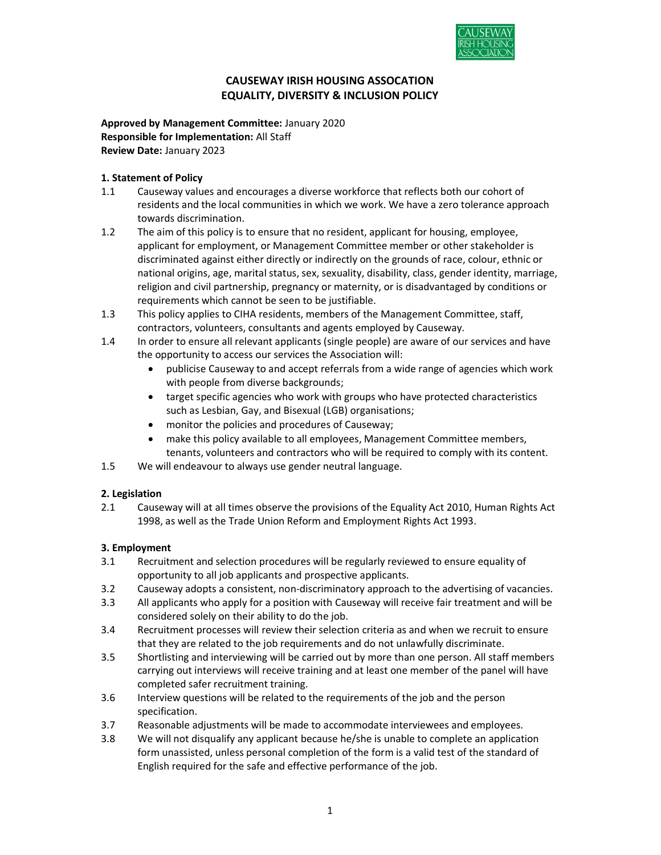

# CAUSEWAY IRISH HOUSING ASSOCATION EQUALITY, DIVERSITY & INCLUSION POLICY

Approved by Management Committee: January 2020 Responsible for Implementation: All Staff Review Date: January 2023

# 1. Statement of Policy

- 1.1 Causeway values and encourages a diverse workforce that reflects both our cohort of residents and the local communities in which we work. We have a zero tolerance approach towards discrimination.
- 1.2 The aim of this policy is to ensure that no resident, applicant for housing, employee, applicant for employment, or Management Committee member or other stakeholder is discriminated against either directly or indirectly on the grounds of race, colour, ethnic or national origins, age, marital status, sex, sexuality, disability, class, gender identity, marriage, religion and civil partnership, pregnancy or maternity, or is disadvantaged by conditions or requirements which cannot be seen to be justifiable.
- 1.3 This policy applies to CIHA residents, members of the Management Committee, staff, contractors, volunteers, consultants and agents employed by Causeway.
- 1.4 In order to ensure all relevant applicants (single people) are aware of our services and have the opportunity to access our services the Association will:
	- publicise Causeway to and accept referrals from a wide range of agencies which work with people from diverse backgrounds;
	- target specific agencies who work with groups who have protected characteristics such as Lesbian, Gay, and Bisexual (LGB) organisations;
	- monitor the policies and procedures of Causeway;
	- make this policy available to all employees, Management Committee members, tenants, volunteers and contractors who will be required to comply with its content.
- 1.5 We will endeavour to always use gender neutral language.

# 2. Legislation

2.1 Causeway will at all times observe the provisions of the Equality Act 2010, Human Rights Act 1998, as well as the Trade Union Reform and Employment Rights Act 1993.

# 3. Employment

- 3.1 Recruitment and selection procedures will be regularly reviewed to ensure equality of opportunity to all job applicants and prospective applicants.
- 3.2 Causeway adopts a consistent, non-discriminatory approach to the advertising of vacancies.
- 3.3 All applicants who apply for a position with Causeway will receive fair treatment and will be considered solely on their ability to do the job.
- 3.4 Recruitment processes will review their selection criteria as and when we recruit to ensure that they are related to the job requirements and do not unlawfully discriminate.
- 3.5 Shortlisting and interviewing will be carried out by more than one person. All staff members carrying out interviews will receive training and at least one member of the panel will have completed safer recruitment training.
- 3.6 Interview questions will be related to the requirements of the job and the person specification.
- 3.7 Reasonable adjustments will be made to accommodate interviewees and employees.
- 3.8 We will not disqualify any applicant because he/she is unable to complete an application form unassisted, unless personal completion of the form is a valid test of the standard of English required for the safe and effective performance of the job.